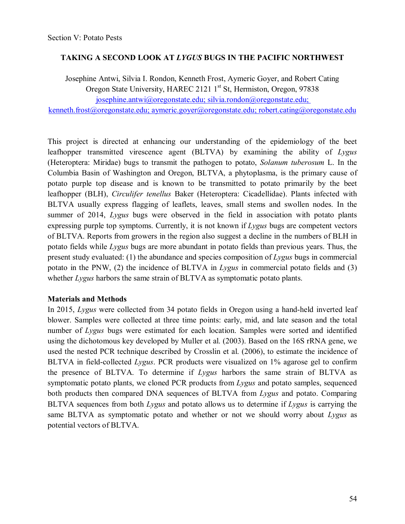## **TAKING A SECOND LOOK AT** *LYGUS* **BUGS IN THE PACIFIC NORTHWEST**

Josephine Antwi, Silvia I. Rondon, Kenneth Frost, Aymeric Goyer, and Robert Cating Oregon State University, HAREC 2121 1<sup>st</sup> St, Hermiston, Oregon, 97838 [josephine.antwi@oregonstate.edu;](mailto:josephine.antwi@oregonstate.edu) [silvia.rondon@oregonstate.edu;](mailto:silvia.rondon@oregonstate.edu) [kenneth.frost@oregonstate.edu;](mailto:kenneth.frost@oregonstate.edu) [aymeric.goyer@oregonstate.edu;](mailto:aymeric.goyer@oregonstate.edu) [robert.cating@oregonstate.edu](mailto:robert.cating@oregonstate.edu)

This project is directed at enhancing our understanding of the epidemiology of the beet leafhopper transmitted virescence agent (BLTVA) by examining the ability of *Lygus*  (Heteroptera: Miridae) bugs to transmit the pathogen to potato, *Solanum tuberosum* L. In the Columbia Basin of Washington and Oregon, BLTVA, a phytoplasma, is the primary cause of potato purple top disease and is known to be transmitted to potato primarily by the beet leafhopper (BLH), *Circulifer tenellus* Baker (Heteroptera: Cicadellidae). Plants infected with BLTVA usually express flagging of leaflets, leaves, small stems and swollen nodes. In the summer of 2014, *Lygus* bugs were observed in the field in association with potato plants expressing purple top symptoms. Currently, it is not known if *Lygus* bugs are competent vectors of BLTVA. Reports from growers in the region also suggest a decline in the numbers of BLH in potato fields while *Lygus* bugs are more abundant in potato fields than previous years. Thus, the present study evaluated: (1) the abundance and species composition of *Lygus* bugs in commercial potato in the PNW, (2) the incidence of BLTVA in *Lygus* in commercial potato fields and (3) whether *Lygus* harbors the same strain of BLTVA as symptomatic potato plants.

## **Materials and Methods**

In 2015, *Lygus* were collected from 34 potato fields in Oregon using a hand-held inverted leaf blower. Samples were collected at three time points: early, mid, and late season and the total number of *Lygus* bugs were estimated for each location. Samples were sorted and identified using the dichotomous key developed by Muller et al. (2003). Based on the 16S rRNA gene, we used the nested PCR technique described by Crosslin et al. (2006), to estimate the incidence of BLTVA in field-collected *Lygus*. PCR products were visualized on 1% agarose gel to confirm the presence of BLTVA. To determine if *Lygus* harbors the same strain of BLTVA as symptomatic potato plants, we cloned PCR products from *Lygus* and potato samples, sequenced both products then compared DNA sequences of BLTVA from *Lygus* and potato. Comparing BLTVA sequences from both *Lygus* and potato allows us to determine if *Lygus* is carrying the same BLTVA as symptomatic potato and whether or not we should worry about *Lygus* as potential vectors of BLTVA.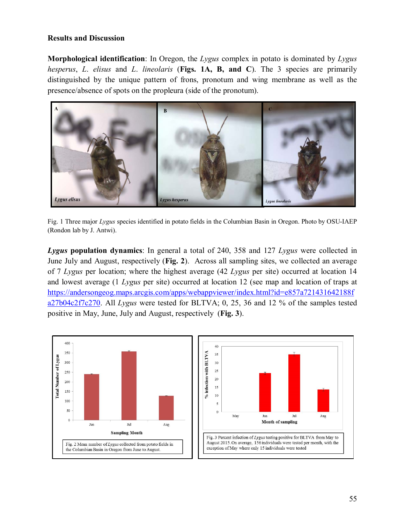## **Results and Discussion**

**Morphological identification**: In Oregon, the *Lygus* complex in potato is dominated by *Lygus hesperus*, *L*. *elisus* and *L*. *lineolaris* (**Figs. 1A, B, and C**). The 3 species are primarily distinguished by the unique pattern of frons, pronotum and wing membrane as well as the presence/absence of spots on the propleura (side of the pronotum).



Fig. 1 Three major *Lygus* species identified in potato fields in the Columbian Basin in Oregon. Photo by OSU-IAEP (Rondon lab by J. Antwi).

*Lygus* **population dynamics**: In general a total of 240, 358 and 127 *Lygus* were collected in June July and August, respectively (**Fig. 2**). Across all sampling sites, we collected an average of 7 *Lygus* per location; where the highest average (42 *Lygus* per site) occurred at location 14 and lowest average (1 *Lygus* per site) occurred at location 12 (see map and location of traps at [https://andersongeog.maps.arcgis.com/apps/webappviewer/index.html?id=e857a721431642188f](https://andersongeog.maps.arcgis.com/apps/webappviewer/index.html?id=e857a721431642188fa27b04c2f7c270) [a27b04c2f7c270.](https://andersongeog.maps.arcgis.com/apps/webappviewer/index.html?id=e857a721431642188fa27b04c2f7c270) All *Lygus* were tested for BLTVA; 0, 25, 36 and 12 % of the samples tested positive in May, June, July and August, respectively (**Fig. 3**).